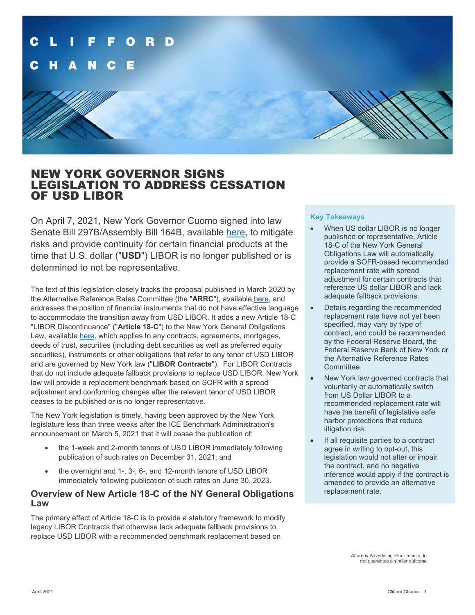

# NEW YORK GOVERNOR SIGNS LEGISLATION TO ADDRESS CESSATION OF USD LIBOR

On April 7, 2021, New York Governor Cuomo signed into law Senate Bill 297B/Assembly Bill 164B, available [here,](https://legislation.nysenate.gov/pdf/bills/2021/S297B) to mitigate risks and provide continuity for certain financial products at the time that U.S. dollar ("**USD**") LIBOR is no longer published or is determined to not be representative.

The text of this legislation closely tracks the proposal published in March 2020 by the Alternative Reference Rates Committee (the "**ARRC**"), available [here,](https://www.newyorkfed.org/medialibrary/Microsites/arrc/files/2020/ARRC-Proposed-Legislative-Solution.pdf) and addresses the position of financial instruments that do not have effective language to accommodate the transition away from USD LIBOR. It adds a new Article 18-C "LIBOR Discontinuance" ("**Article 18-C**") to the New York General Obligations Law, availabl[e here,](https://www.nysenate.gov/legislation/laws/GOB/A18-C) which applies to any contracts, agreements, mortgages, deeds of trust, securities (including debt securities as well as preferred equity securities), instruments or other obligations that refer to any tenor of USD LIBOR and are governed by New York law ("**LIBOR Contracts**"). For LIBOR Contracts that do not include adequate fallback provisions to replace USD LIBOR, New York law will provide a replacement benchmark based on SOFR with a spread adjustment and conforming changes after the relevant tenor of USD LIBOR ceases to be published or is no longer representative.

The New York legislation is timely, having been approved by the New York legislature less than three weeks after the ICE Benchmark Administration's announcement on March 5, 2021 that it will cease the publication of:

- the 1-week and 2-month tenors of USD LIBOR immediately following publication of such rates on December 31, 2021; and
- the overnight and 1-, 3-, 6-, and 12-month tenors of USD LIBOR immediately following publication of such rates on June 30, 2023.

### **Overview of New Article 18-C of the NY General Obligations Law**

The primary effect of Article 18-C is to provide a statutory framework to modify legacy LIBOR Contracts that otherwise lack adequate fallback provisions to replace USD LIBOR with a recommended benchmark replacement based on

### **Key Takeaways**

- When US dollar LIBOR is no longer published or representative, Article 18-C of the New York General Obligations Law will automatically provide a SOFR-based recommended replacement rate with spread adjustment for certain contracts that reference US dollar LIBOR and lack adequate fallback provisions.
- Details regarding the recommended replacement rate have not yet been specified, may vary by type of contract, and could be recommended by the Federal Reserve Board, the Federal Reserve Bank of New York or the Alternative Reference Rates Committee.
- New York law governed contracts that voluntarily or automatically switch from US Dollar LIBOR to a recommended replacement rate will have the benefit of legislative safe harbor protections that reduce litigation risk.
- If all requisite parties to a contract agree in writing to opt-out, this legislation would not alter or impair the contract, and no negative inference would apply if the contract is amended to provide an alternative replacement rate.

Attorney Advertising: Prior results do not guarantee a similar outcome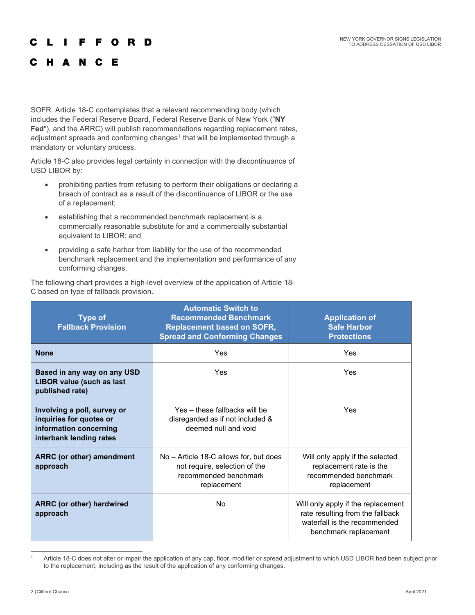#### C F O R D ш F

### **HANCE** C

SOFR. Article 18-C contemplates that a relevant recommending body (which includes the Federal Reserve Board, Federal Reserve Bank of New York ("**NY Fed**"), and the ARRC) will publish recommendations regarding replacement rates, adjustment spreads and conforming changes<sup>[1](#page-1-0)</sup> that will be implemented through a mandatory or voluntary process.

Article 18-C also provides legal certainty in connection with the discontinuance of USD LIBOR by:

- prohibiting parties from refusing to perform their obligations or declaring a breach of contract as a result of the discontinuance of LIBOR or the use of a replacement;
- establishing that a recommended benchmark replacement is a commercially reasonable substitute for and a commercially substantial equivalent to LIBOR; and
- providing a safe harbor from liability for the use of the recommended benchmark replacement and the implementation and performance of any conforming changes.

The following chart provides a high-level overview of the application of Article 18- C based on type of fallback provision.

| <b>Type of</b><br><b>Fallback Provision</b>                                                                 | <b>Automatic Switch to</b><br><b>Recommended Benchmark</b><br><b>Replacement based on SOFR,</b><br><b>Spread and Conforming Changes</b> | <b>Application of</b><br><b>Safe Harbor</b><br><b>Protections</b>                                                               |
|-------------------------------------------------------------------------------------------------------------|-----------------------------------------------------------------------------------------------------------------------------------------|---------------------------------------------------------------------------------------------------------------------------------|
| <b>None</b>                                                                                                 | Yes                                                                                                                                     | Yes                                                                                                                             |
| Based in any way on any USD<br><b>LIBOR value (such as last</b><br>published rate)                          | Yes                                                                                                                                     | Yes                                                                                                                             |
| Involving a poll, survey or<br>inquiries for quotes or<br>information concerning<br>interbank lending rates | Yes – these fallbacks will be<br>disregarded as if not included &<br>deemed null and void                                               | Yes                                                                                                                             |
| <b>ARRC</b> (or other) amendment<br>approach                                                                | No – Article 18-C allows for, but does<br>not require, selection of the<br>recommended benchmark<br>replacement                         | Will only apply if the selected<br>replacement rate is the<br>recommended benchmark<br>replacement                              |
| <b>ARRC</b> (or other) hardwired<br>approach                                                                | No                                                                                                                                      | Will only apply if the replacement<br>rate resulting from the fallback<br>waterfall is the recommended<br>benchmark replacement |

<span id="page-1-0"></span><sup>1</sup> Article 18-C does not alter or impair the application of any cap, floor, modifier or spread adjustment to which USD LIBOR had been subject prior to the replacement, including as the result of the application of any conforming changes.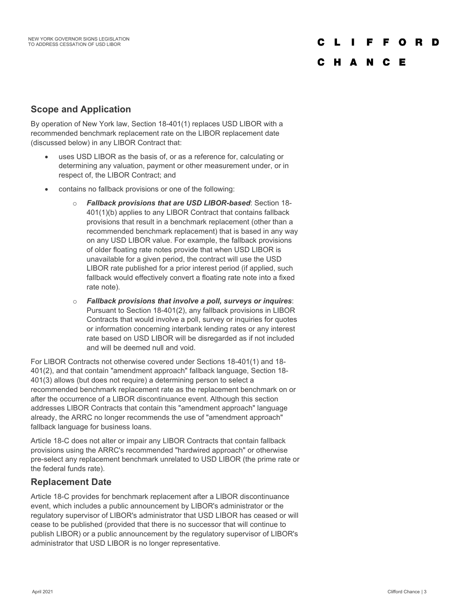C L  $\mathbf{L}$ F F O **D** - n

## C H A N C E

## **Scope and Application**

By operation of New York law, Section 18-401(1) replaces USD LIBOR with a recommended benchmark replacement rate on the LIBOR replacement date (discussed below) in any LIBOR Contract that:

- uses USD LIBOR as the basis of, or as a reference for, calculating or determining any valuation, payment or other measurement under, or in respect of, the LIBOR Contract; and
- contains no fallback provisions or one of the following:
	- o *Fallback provisions that are USD LIBOR-based*: Section 18- 401(1)(b) applies to any LIBOR Contract that contains fallback provisions that result in a benchmark replacement (other than a recommended benchmark replacement) that is based in any way on any USD LIBOR value. For example, the fallback provisions of older floating rate notes provide that when USD LIBOR is unavailable for a given period, the contract will use the USD LIBOR rate published for a prior interest period (if applied, such fallback would effectively convert a floating rate note into a fixed rate note).
	- o *Fallback provisions that involve a poll, surveys or inquires*: Pursuant to Section 18-401(2), any fallback provisions in LIBOR Contracts that would involve a poll, survey or inquiries for quotes or information concerning interbank lending rates or any interest rate based on USD LIBOR will be disregarded as if not included and will be deemed null and void.

For LIBOR Contracts not otherwise covered under Sections 18-401(1) and 18- 401(2), and that contain "amendment approach" fallback language, Section 18- 401(3) allows (but does not require) a determining person to select a recommended benchmark replacement rate as the replacement benchmark on or after the occurrence of a LIBOR discontinuance event. Although this section addresses LIBOR Contracts that contain this "amendment approach" language already, the ARRC no longer recommends the use of "amendment approach" fallback language for business loans.

Article 18-C does not alter or impair any LIBOR Contracts that contain fallback provisions using the ARRC's recommended "hardwired approach" or otherwise pre-select any replacement benchmark unrelated to USD LIBOR (the prime rate or the federal funds rate).

## **Replacement Date**

Article 18-C provides for benchmark replacement after a LIBOR discontinuance event, which includes a public announcement by LIBOR's administrator or the regulatory supervisor of LIBOR's administrator that USD LIBOR has ceased or will cease to be published (provided that there is no successor that will continue to publish LIBOR) or a public announcement by the regulatory supervisor of LIBOR's administrator that USD LIBOR is no longer representative.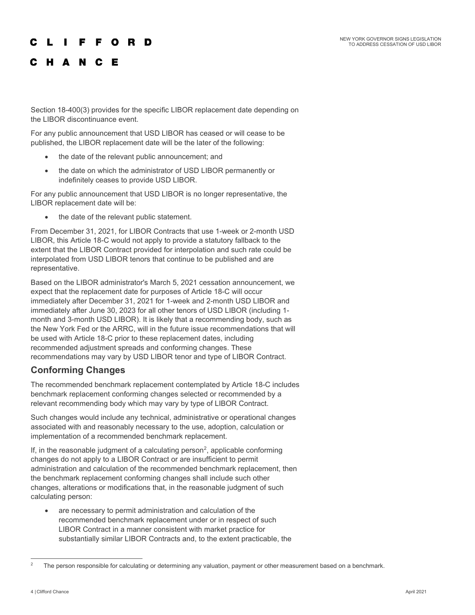#### $\mathbf{L}$ **Contract** F F O R D

# C H A N C E

Section 18-400(3) provides for the specific LIBOR replacement date depending on the LIBOR discontinuance event.

For any public announcement that USD LIBOR has ceased or will cease to be published, the LIBOR replacement date will be the later of the following:

- the date of the relevant public announcement; and
- the date on which the administrator of USD LIBOR permanently or indefinitely ceases to provide USD LIBOR.

For any public announcement that USD LIBOR is no longer representative, the LIBOR replacement date will be:

• the date of the relevant public statement.

From December 31, 2021, for LIBOR Contracts that use 1-week or 2-month USD LIBOR, this Article 18-C would not apply to provide a statutory fallback to the extent that the LIBOR Contract provided for interpolation and such rate could be interpolated from USD LIBOR tenors that continue to be published and are representative.

Based on the LIBOR administrator's March 5, 2021 cessation announcement, we expect that the replacement date for purposes of Article 18-C will occur immediately after December 31, 2021 for 1-week and 2-month USD LIBOR and immediately after June 30, 2023 for all other tenors of USD LIBOR (including 1 month and 3-month USD LIBOR). It is likely that a recommending body, such as the New York Fed or the ARRC, will in the future issue recommendations that will be used with Article 18-C prior to these replacement dates, including recommended adjustment spreads and conforming changes. These recommendations may vary by USD LIBOR tenor and type of LIBOR Contract.

## **Conforming Changes**

The recommended benchmark replacement contemplated by Article 18-C includes benchmark replacement conforming changes selected or recommended by a relevant recommending body which may vary by type of LIBOR Contract.

Such changes would include any technical, administrative or operational changes associated with and reasonably necessary to the use, adoption, calculation or implementation of a recommended benchmark replacement.

If, in the reasonable judgment of a calculating person<sup>[2](#page-3-0)</sup>, applicable conforming changes do not apply to a LIBOR Contract or are insufficient to permit administration and calculation of the recommended benchmark replacement, then the benchmark replacement conforming changes shall include such other changes, alterations or modifications that, in the reasonable judgment of such calculating person:

• are necessary to permit administration and calculation of the recommended benchmark replacement under or in respect of such LIBOR Contract in a manner consistent with market practice for substantially similar LIBOR Contracts and, to the extent practicable, the

<span id="page-3-0"></span>The person responsible for calculating or determining any valuation, payment or other measurement based on a benchmark.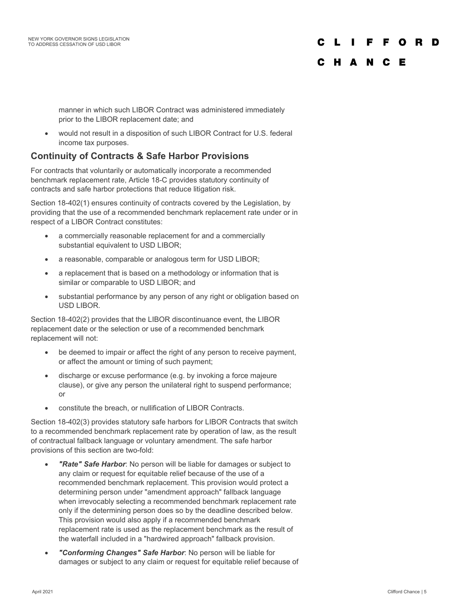### C L F F O D

## C H A N C E

manner in which such LIBOR Contract was administered immediately prior to the LIBOR replacement date; and

• would not result in a disposition of such LIBOR Contract for U.S. federal income tax purposes.

## **Continuity of Contracts & Safe Harbor Provisions**

For contracts that voluntarily or automatically incorporate a recommended benchmark replacement rate, Article 18-C provides statutory continuity of contracts and safe harbor protections that reduce litigation risk.

Section 18-402(1) ensures continuity of contracts covered by the Legislation, by providing that the use of a recommended benchmark replacement rate under or in respect of a LIBOR Contract constitutes:

- a commercially reasonable replacement for and a commercially substantial equivalent to USD LIBOR;
- a reasonable, comparable or analogous term for USD LIBOR;
- a replacement that is based on a methodology or information that is similar or comparable to USD LIBOR; and
- substantial performance by any person of any right or obligation based on USD LIBOR.

Section 18-402(2) provides that the LIBOR discontinuance event, the LIBOR replacement date or the selection or use of a recommended benchmark replacement will not:

- be deemed to impair or affect the right of any person to receive payment, or affect the amount or timing of such payment;
- discharge or excuse performance (e.g. by invoking a force majeure clause), or give any person the unilateral right to suspend performance; or
- constitute the breach, or nullification of LIBOR Contracts.

Section 18-402(3) provides statutory safe harbors for LIBOR Contracts that switch to a recommended benchmark replacement rate by operation of law, as the result of contractual fallback language or voluntary amendment. The safe harbor provisions of this section are two-fold:

- *"Rate" Safe Harbor*: No person will be liable for damages or subject to any claim or request for equitable relief because of the use of a recommended benchmark replacement. This provision would protect a determining person under "amendment approach" fallback language when irrevocably selecting a recommended benchmark replacement rate only if the determining person does so by the deadline described below. This provision would also apply if a recommended benchmark replacement rate is used as the replacement benchmark as the result of the waterfall included in a "hardwired approach" fallback provision.
- *"Conforming Changes" Safe Harbor*: No person will be liable for damages or subject to any claim or request for equitable relief because of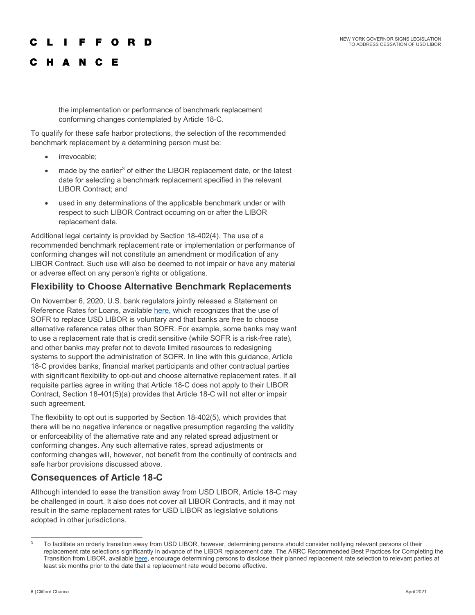### NEW YORK GOVERNOR SIGNS LEGISLATION TO ADDRESS CESSATION OF USD LIBOR

### $\blacksquare$ **FFORD**

## C H A N C E

the implementation or performance of benchmark replacement conforming changes contemplated by Article 18-C.

To qualify for these safe harbor protections, the selection of the recommended benchmark replacement by a determining person must be:

- irrevocable;
- made by the earlier<sup>[3](#page-5-0)</sup> of either the LIBOR replacement date, or the latest date for selecting a benchmark replacement specified in the relevant LIBOR Contract; and
- used in any determinations of the applicable benchmark under or with respect to such LIBOR Contract occurring on or after the LIBOR replacement date.

Additional legal certainty is provided by Section 18-402(4). The use of a recommended benchmark replacement rate or implementation or performance of conforming changes will not constitute an amendment or modification of any LIBOR Contract. Such use will also be deemed to not impair or have any material or adverse effect on any person's rights or obligations.

### **Flexibility to Choose Alternative Benchmark Replacements**

On November 6, 2020, U.S. bank regulators jointly released a Statement on Reference Rates for Loans, availabl[e here,](https://www.occ.gov/news-issuances/bulletins/2020/bulletin-2020-98a.pdf) which recognizes that the use of SOFR to replace USD LIBOR is voluntary and that banks are free to choose alternative reference rates other than SOFR. For example, some banks may want to use a replacement rate that is credit sensitive (while SOFR is a risk-free rate), and other banks may prefer not to devote limited resources to redesigning systems to support the administration of SOFR. In line with this guidance, Article 18-C provides banks, financial market participants and other contractual parties with significant flexibility to opt-out and choose alternative replacement rates. If all requisite parties agree in writing that Article 18-C does not apply to their LIBOR Contract, Section 18-401(5)(a) provides that Article 18-C will not alter or impair such agreement.

The flexibility to opt out is supported by Section 18-402(5), which provides that there will be no negative inference or negative presumption regarding the validity or enforceability of the alternative rate and any related spread adjustment or conforming changes. Any such alternative rates, spread adjustments or conforming changes will, however, not benefit from the continuity of contracts and safe harbor provisions discussed above.

## **Consequences of Article 18-C**

Although intended to ease the transition away from USD LIBOR, Article 18-C may be challenged in court. It also does not cover all LIBOR Contracts, and it may not result in the same replacement rates for USD LIBOR as legislative solutions adopted in other jurisdictions.

<span id="page-5-0"></span><sup>&</sup>lt;sup>3</sup> To facilitate an orderly transition away from USD LIBOR, however, determining persons should consider notifying relevant persons of their replacement rate selections significantly in advance of the LIBOR replacement date. The ARRC Recommended Best Practices for Completing the Transition from LIBOR, available [here,](https://www.newyorkfed.org/medialibrary/Microsites/arrc/files/2020/ARRC-Best-Practices.pdf) encourage determining persons to disclose their planned replacement rate selection to relevant parties at least six months prior to the date that a replacement rate would become effective.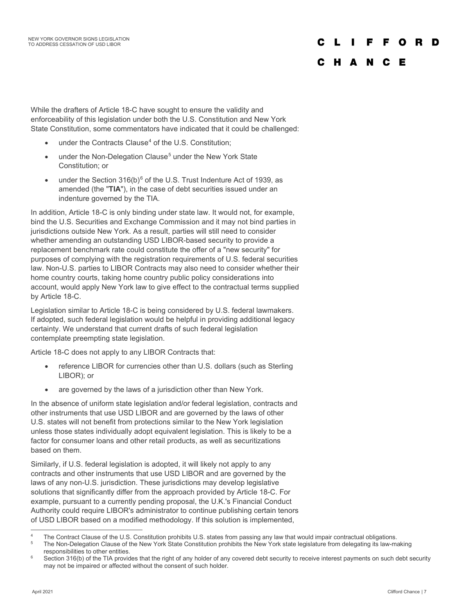### C L I **FFORD**

## C H A N C E

While the drafters of Article 18-C have sought to ensure the validity and enforceability of this legislation under both the U.S. Constitution and New York State Constitution, some commentators have indicated that it could be challenged:

- under the Contracts Clause<sup>[4](#page-6-0)</sup> of the U.S. Constitution:
- under the Non-Delegation Clause<sup>[5](#page-6-1)</sup> under the New York State Constitution; or
- under the Section 31[6](#page-6-2)(b)<sup>6</sup> of the U.S. Trust Indenture Act of 1939, as amended (the "**TIA**"), in the case of debt securities issued under an indenture governed by the TIA.

In addition, Article 18-C is only binding under state law. It would not, for example, bind the U.S. Securities and Exchange Commission and it may not bind parties in jurisdictions outside New York. As a result, parties will still need to consider whether amending an outstanding USD LIBOR-based security to provide a replacement benchmark rate could constitute the offer of a "new security" for purposes of complying with the registration requirements of U.S. federal securities law. Non-U.S. parties to LIBOR Contracts may also need to consider whether their home country courts, taking home country public policy considerations into account, would apply New York law to give effect to the contractual terms supplied by Article 18-C.

Legislation similar to Article 18-C is being considered by U.S. federal lawmakers. If adopted, such federal legislation would be helpful in providing additional legacy certainty. We understand that current drafts of such federal legislation contemplate preempting state legislation.

Article 18-C does not apply to any LIBOR Contracts that:

- reference LIBOR for currencies other than U.S. dollars (such as Sterling LIBOR); or
- are governed by the laws of a jurisdiction other than New York.

In the absence of uniform state legislation and/or federal legislation, contracts and other instruments that use USD LIBOR and are governed by the laws of other U.S. states will not benefit from protections similar to the New York legislation unless those states individually adopt equivalent legislation. This is likely to be a factor for consumer loans and other retail products, as well as securitizations based on them.

Similarly, if U.S. federal legislation is adopted, it will likely not apply to any contracts and other instruments that use USD LIBOR and are governed by the laws of any non-U.S. jurisdiction. These jurisdictions may develop legislative solutions that significantly differ from the approach provided by Article 18-C. For example, pursuant to a currently pending proposal, the U.K.'s Financial Conduct Authority could require LIBOR's administrator to continue publishing certain tenors of USD LIBOR based on a modified methodology. If this solution is implemented,

<span id="page-6-0"></span><sup>&</sup>lt;sup>4</sup> The Contract Clause of the U.S. Constitution prohibits U.S. states from passing any law that would impair contractual obligations.

<span id="page-6-1"></span><sup>5</sup> The Non-Delegation Clause of the New York State Constitution prohibits the New York state legislature from delegating its law-making responsibilities to other entities.

<span id="page-6-2"></span>Section 316(b) of the TIA provides that the right of any holder of any covered debt security to receive interest payments on such debt security may not be impaired or affected without the consent of such holder.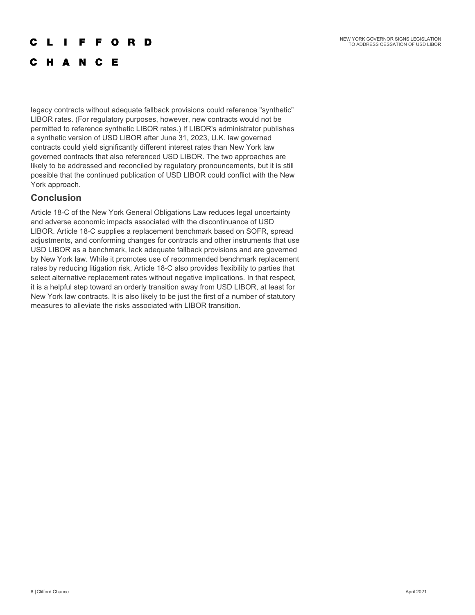NEW YORK GOVERNOR SIGNS LEGISLATION TO ADDRESS CESSATION OF USD LIBOR

#### r L **The Contract State FFORD**

# C H A N C E

legacy contracts without adequate fallback provisions could reference "synthetic" LIBOR rates. (For regulatory purposes, however, new contracts would not be permitted to reference synthetic LIBOR rates.) If LIBOR's administrator publishes a synthetic version of USD LIBOR after June 31, 2023, U.K. law governed contracts could yield significantly different interest rates than New York law governed contracts that also referenced USD LIBOR. The two approaches are likely to be addressed and reconciled by regulatory pronouncements, but it is still possible that the continued publication of USD LIBOR could conflict with the New York approach.

## **Conclusion**

Article 18-C of the New York General Obligations Law reduces legal uncertainty and adverse economic impacts associated with the discontinuance of USD LIBOR. Article 18-C supplies a replacement benchmark based on SOFR, spread adjustments, and conforming changes for contracts and other instruments that use USD LIBOR as a benchmark, lack adequate fallback provisions and are governed by New York law. While it promotes use of recommended benchmark replacement rates by reducing litigation risk, Article 18-C also provides flexibility to parties that select alternative replacement rates without negative implications. In that respect, it is a helpful step toward an orderly transition away from USD LIBOR, at least for New York law contracts. It is also likely to be just the first of a number of statutory measures to alleviate the risks associated with LIBOR transition.